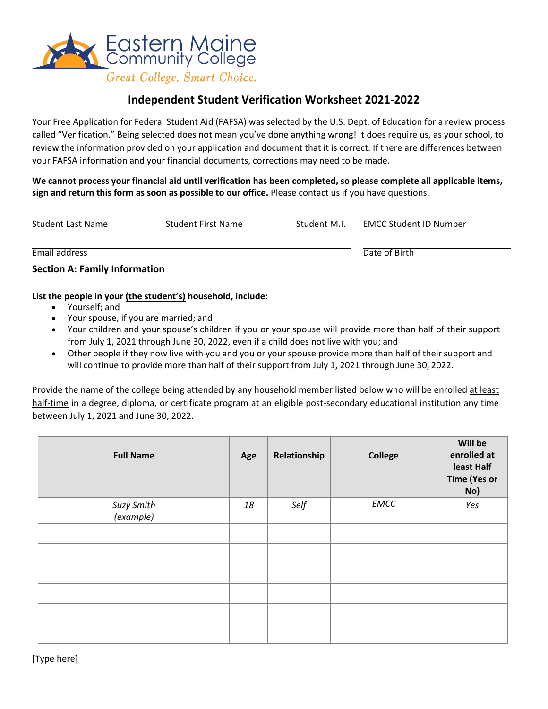

## **Independent Student Verification Worksheet 2021-2022**

Your Free Application for Federal Student Aid (FAFSA) was selected by the U.S. Dept. of Education for a review process called "Verification." Being selected does not mean you've done anything wrong! It does require us, as your school, to review the information provided on your application and document that it is correct. If there are differences between your FAFSA information and your financial documents, corrections may need to be made.

**We cannot process your financial aid until verification has been completed, so please complete all applicable items, sign and return this form as soon as possible to our office.** Please contact us if you have questions.

| Student Last Name                    | Student First Name | Student M.I. | <b>EMCC Student ID Number</b> |
|--------------------------------------|--------------------|--------------|-------------------------------|
| Email address                        |                    |              | Date of Birth                 |
| <b>Section A: Family Information</b> |                    |              |                               |

#### **List the people in your (the student's) household, include:**

- Yourself; and
- Your spouse, if you are married; and
- Your children and your spouse's children if you or your spouse will provide more than half of their support from July 1, 2021 through June 30, 2022, even if a child does not live with you; and
- Other people if they now live with you and you or your spouse provide more than half of their support and will continue to provide more than half of their support from July 1, 2021 through June 30, 2022.

Provide the name of the college being attended by any household member listed below who will be enrolled at least half-time in a degree, diploma, or certificate program at an eligible post-secondary educational institution any time between July 1, 2021 and June 30, 2022.

| <b>Full Name</b>        | Age | Relationship | <b>College</b> | Will be<br>enrolled at<br>least Half<br><b>Time (Yes or</b><br>No) |
|-------------------------|-----|--------------|----------------|--------------------------------------------------------------------|
| Suzy Smith<br>(example) | 18  | Self         | <b>EMCC</b>    | Yes                                                                |
|                         |     |              |                |                                                                    |
|                         |     |              |                |                                                                    |
|                         |     |              |                |                                                                    |
|                         |     |              |                |                                                                    |
|                         |     |              |                |                                                                    |
|                         |     |              |                |                                                                    |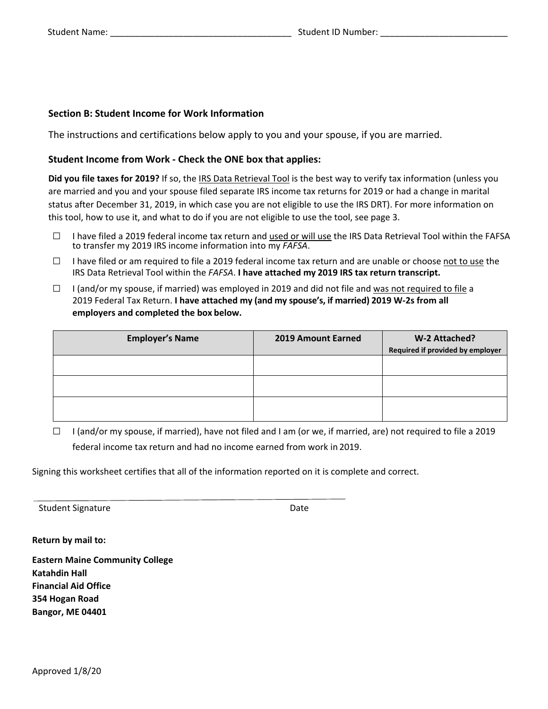#### **Section B: Student Income for Work Information**

The instructions and certifications below apply to you and your spouse, if you are married.

#### **Student Income from Work - Check the ONE box that applies:**

**Did you file taxes for 2019?** If so, the IRS Data Retrieval Tool is the best way to verify tax information (unless you are married and you and your spouse filed separate IRS income tax returns for 2019 or had a change in marital status after December 31, 2019, in which case you are not eligible to use the IRS DRT). For more information on this tool, how to use it, and what to do if you are not eligible to use the tool, see page 3.

- □ <sup>I</sup> have filed a 2019 federal income tax return and used or will use the IRS Data Retrieval Tool within the FAFSA to transfer my 2019 IRS income information into my *FAFSA*.
- $\Box$  I have filed or am required to file a 2019 federal income tax return and are unable or choose not to use the IRS Data Retrieval Tool within the *FAFSA*. **I have attached my 2019 IRS tax return transcript.**
- $\Box$  I (and/or my spouse, if married) was employed in 2019 and did not file and was not required to file a 2019 Federal Tax Return. **I have attached my (and my spouse's, if married) 2019 W-2s from all employers and completed the box below.**

| <b>Employer's Name</b> | 2019 Amount Earned | W-2 Attached?<br>Required if provided by employer |
|------------------------|--------------------|---------------------------------------------------|
|                        |                    |                                                   |
|                        |                    |                                                   |
|                        |                    |                                                   |

 $\Box$  I (and/or my spouse, if married), have not filed and I am (or we, if married, are) not required to file a 2019 federal income tax return and had no income earned from work in 2019.

Signing this worksheet certifies that all of the information reported on it is complete and correct.

Student Signature Date Date

**Return by mail to:** 

**Eastern Maine Community College Katahdin Hall Financial Aid Office 354 Hogan Road Bangor, ME 04401**